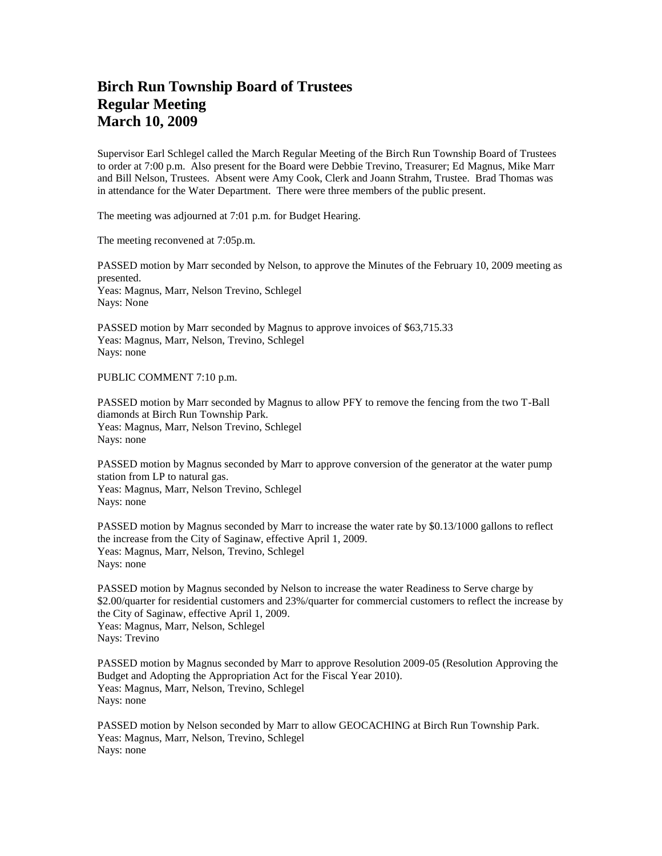## **Birch Run Township Board of Trustees Regular Meeting March 10, 2009**

Supervisor Earl Schlegel called the March Regular Meeting of the Birch Run Township Board of Trustees to order at 7:00 p.m. Also present for the Board were Debbie Trevino, Treasurer; Ed Magnus, Mike Marr and Bill Nelson, Trustees. Absent were Amy Cook, Clerk and Joann Strahm, Trustee. Brad Thomas was in attendance for the Water Department. There were three members of the public present.

The meeting was adjourned at 7:01 p.m. for Budget Hearing.

The meeting reconvened at 7:05p.m.

PASSED motion by Marr seconded by Nelson, to approve the Minutes of the February 10, 2009 meeting as presented. Yeas: Magnus, Marr, Nelson Trevino, Schlegel Nays: None

PASSED motion by Marr seconded by Magnus to approve invoices of \$63,715.33 Yeas: Magnus, Marr, Nelson, Trevino, Schlegel Nays: none

## PUBLIC COMMENT 7:10 p.m.

PASSED motion by Marr seconded by Magnus to allow PFY to remove the fencing from the two T-Ball diamonds at Birch Run Township Park. Yeas: Magnus, Marr, Nelson Trevino, Schlegel Nays: none

PASSED motion by Magnus seconded by Marr to approve conversion of the generator at the water pump station from LP to natural gas. Yeas: Magnus, Marr, Nelson Trevino, Schlegel Nays: none

PASSED motion by Magnus seconded by Marr to increase the water rate by \$0.13/1000 gallons to reflect the increase from the City of Saginaw, effective April 1, 2009. Yeas: Magnus, Marr, Nelson, Trevino, Schlegel Nays: none

PASSED motion by Magnus seconded by Nelson to increase the water Readiness to Serve charge by \$2.00/quarter for residential customers and 23%/quarter for commercial customers to reflect the increase by the City of Saginaw, effective April 1, 2009. Yeas: Magnus, Marr, Nelson, Schlegel Nays: Trevino

PASSED motion by Magnus seconded by Marr to approve Resolution 2009-05 (Resolution Approving the Budget and Adopting the Appropriation Act for the Fiscal Year 2010). Yeas: Magnus, Marr, Nelson, Trevino, Schlegel Nays: none

PASSED motion by Nelson seconded by Marr to allow GEOCACHING at Birch Run Township Park. Yeas: Magnus, Marr, Nelson, Trevino, Schlegel Nays: none